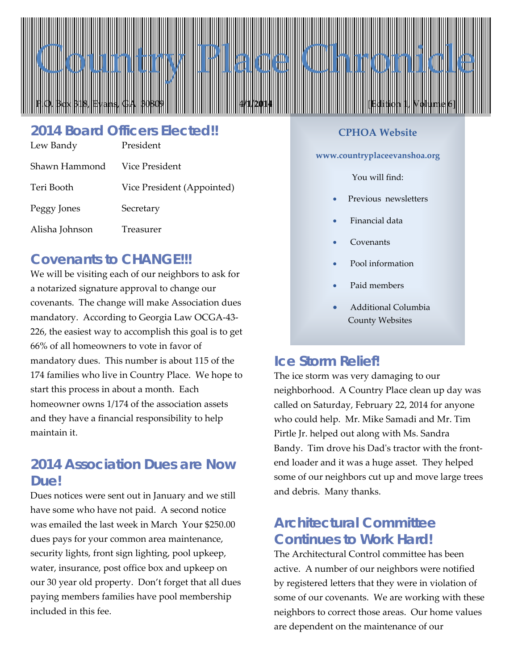

# *2014 Board Officers Elected!!*

| Lew Bandy      | President                  |
|----------------|----------------------------|
| Shawn Hammond  | Vice President             |
| Teri Booth     | Vice President (Appointed) |
| Peggy Jones    | Secretary                  |
| Alisha Johnson | Treasurer                  |

# *Covenants to CHANGE!!!*

We will be visiting each of our neighbors to ask for a notarized signature approval to change our covenants. The change will make Association dues mandatory. According to Georgia Law OCGA-43- 226, the easiest way to accomplish this goal is to get 66% of all homeowners to vote in favor of mandatory dues. This number is about 115 of the 174 families who live in Country Place. We hope to start this process in about a month. Each homeowner owns 1/174 of the association assets and they have a financial responsibility to help maintain it.

# *2014 Association Dues are Now Due!*

Dues notices were sent out in January and we still have some who have not paid. A second notice was emailed the last week in March Your \$250.00 dues pays for your common area maintenance, security lights, front sign lighting, pool upkeep, water, insurance, post office box and upkeep on our 30 year old property. Don't forget that all dues paying members families have pool membership included in this fee.

#### **CPHOA Website**

**www.countryplaceevanshoa.org**

#### You will find:

- Previous newsletters
- Financial data
- **Covenants**
- Pool information
- Paid members
- Additional Columbia County Websites

### *Ice Storm Relief!*

The ice storm was very damaging to our neighborhood. A Country Place clean up day was called on Saturday, February 22, 2014 for anyone who could help. Mr. Mike Samadi and Mr. Tim Pirtle Jr. helped out along with Ms. Sandra Bandy. Tim drove his Dad's tractor with the frontend loader and it was a huge asset. They helped some of our neighbors cut up and move large trees and debris. Many thanks.

## *Architectural Committee Continues to Work Hard!*

The Architectural Control committee has been active. A number of our neighbors were notified by registered letters that they were in violation of some of our covenants. We are working with these neighbors to correct those areas. Our home values are dependent on the maintenance of our